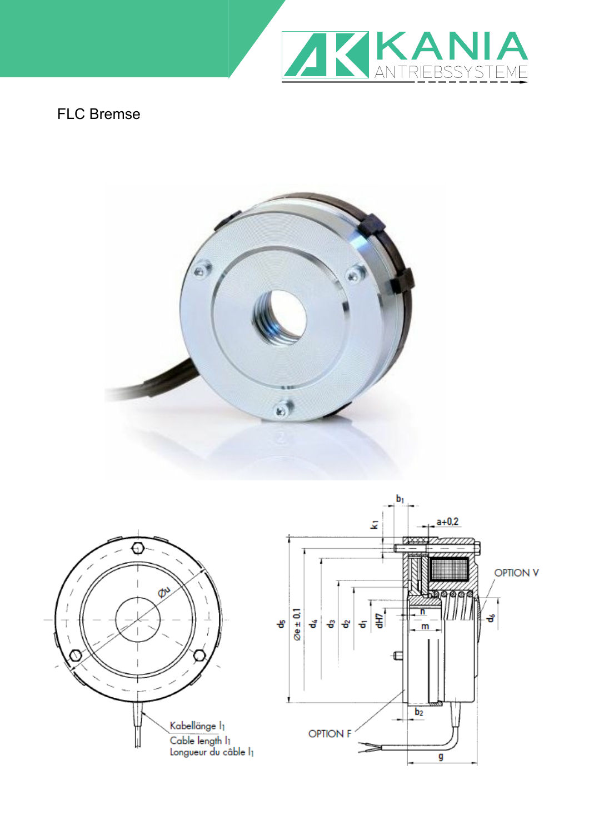

## FLC Bremse